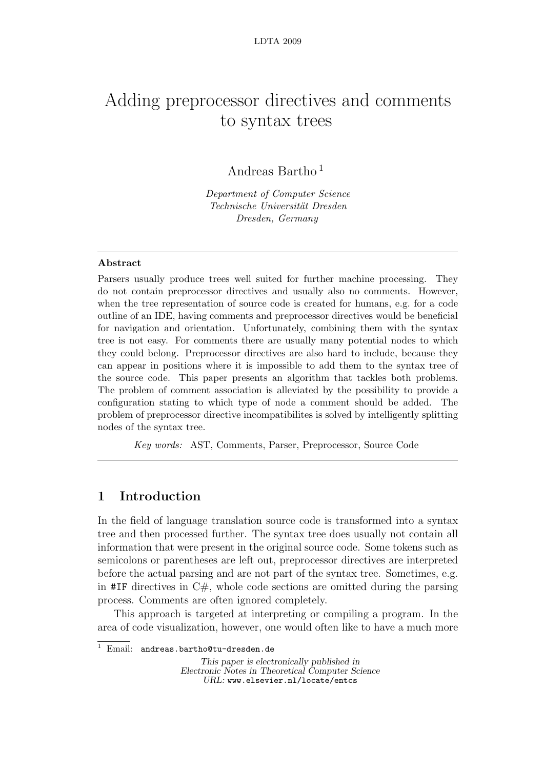# Adding preprocessor directives and comments to syntax trees

Andreas Bartho <sup>1</sup>

Department of Computer Science Technische Universität Dresden Dresden, Germany

## Abstract

Parsers usually produce trees well suited for further machine processing. They do not contain preprocessor directives and usually also no comments. However, when the tree representation of source code is created for humans, e.g. for a code outline of an IDE, having comments and preprocessor directives would be beneficial for navigation and orientation. Unfortunately, combining them with the syntax tree is not easy. For comments there are usually many potential nodes to which they could belong. Preprocessor directives are also hard to include, because they can appear in positions where it is impossible to add them to the syntax tree of the source code. This paper presents an algorithm that tackles both problems. The problem of comment association is alleviated by the possibility to provide a configuration stating to which type of node a comment should be added. The problem of preprocessor directive incompatibilites is solved by intelligently splitting nodes of the syntax tree.

Key words: AST, Comments, Parser, Preprocessor, Source Code

# 1 Introduction

In the field of language translation source code is transformed into a syntax tree and then processed further. The syntax tree does usually not contain all information that were present in the original source code. Some tokens such as semicolons or parentheses are left out, preprocessor directives are interpreted before the actual parsing and are not part of the syntax tree. Sometimes, e.g. in  $#IF$  directives in  $C#$ , whole code sections are omitted during the parsing process. Comments are often ignored completely.

This approach is targeted at interpreting or compiling a program. In the area of code visualization, however, one would often like to have a much more

This paper is electronically published in Electronic Notes in Theoretical Computer Science URL: www.elsevier.nl/locate/entcs

<sup>&</sup>lt;sup>1</sup> Email: andreas.bartho@tu-dresden.de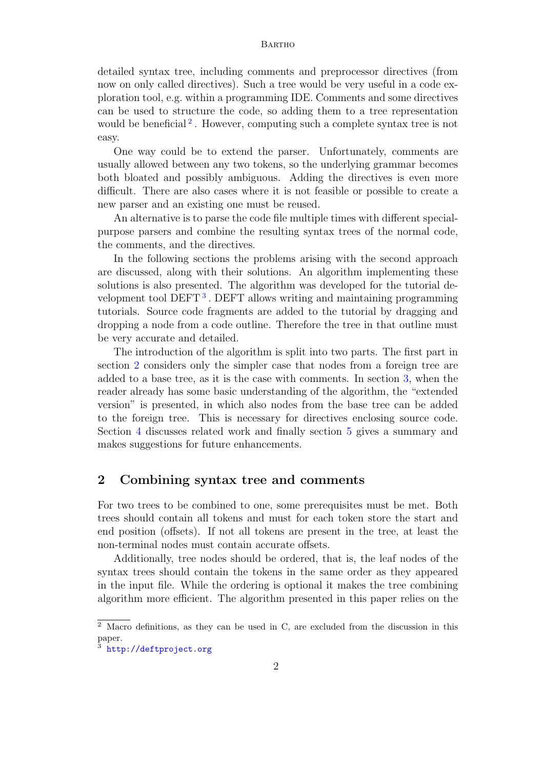detailed syntax tree, including comments and preprocessor directives (from now on only called directives). Such a tree would be very useful in a code exploration tool, e.g. within a programming IDE. Comments and some directives can be used to structure the code, so adding them to a tree representation would be beneficial<sup>2</sup>. However, computing such a complete syntax tree is not easy.

One way could be to extend the parser. Unfortunately, comments are usually allowed between any two tokens, so the underlying grammar becomes both bloated and possibly ambiguous. Adding the directives is even more difficult. There are also cases where it is not feasible or possible to create a new parser and an existing one must be reused.

An alternative is to parse the code file multiple times with different specialpurpose parsers and combine the resulting syntax trees of the normal code, the comments, and the directives.

In the following sections the problems arising with the second approach are discussed, along with their solutions. An algorithm implementing these solutions is also presented. The algorithm was developed for the tutorial development tool DEFT<sup>3</sup>. DEFT allows writing and maintaining programming tutorials. Source code fragments are added to the tutorial by dragging and dropping a node from a code outline. Therefore the tree in that outline must be very accurate and detailed.

The introduction of the algorithm is split into two parts. The first part in section 2 considers only the simpler case that nodes from a foreign tree are added to a base tree, as it is the case with comments. In section 3, when the reader already has some basic understanding of the algorithm, the "extended version" is presented, in which also nodes from the base tree can be added to the foreign tree. This is necessary for directives enclosing source code. Section 4 discusses related work and finally section 5 gives a summary and makes suggestions for future enhancements.

# 2 Combining syntax tree and comments

For two trees to be combined to one, some prerequisites must be met. Both trees should contain all tokens and must for each token store the start and end position (offsets). If not all tokens are present in the tree, at least the non-terminal nodes must contain accurate offsets.

Additionally, tree nodes should be ordered, that is, the leaf nodes of the syntax trees should contain the tokens in the same order as they appeared in the input file. While the ordering is optional it makes the tree combining algorithm more efficient. The algorithm presented in this paper relies on the

<sup>&</sup>lt;sup>2</sup> Macro definitions, as they can be used in C, are excluded from the discussion in this paper.

<sup>3</sup> http://deftproject.org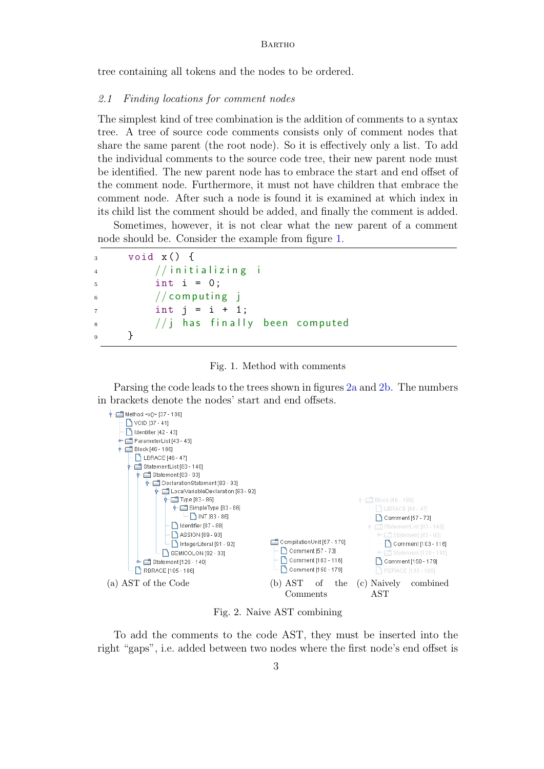tree containing all tokens and the nodes to be ordered.

#### 2.1 Finding locations for comment nodes

The simplest kind of tree combination is the addition of comments to a syntax tree. A tree of source code comments consists only of comment nodes that share the same parent (the root node). So it is effectively only a list. To add the individual comments to the source code tree, their new parent node must be identified. The new parent node has to embrace the start and end offset of the comment node. Furthermore, it must not have children that embrace the comment node. After such a node is found it is examined at which index in its child list the comment should be added, and finally the comment is added.

Sometimes, however, it is not clear what the new parent of a comment node should be. Consider the example from figure 1.

```
_3 void _3 () {
4 // initializing i
5 int i = 0;
6 // computing i
7 \t\t \text{int } j = i + 1;8 // j has finally been computed
\overline{9} }
```


Parsing the code leads to the trees shown in figures 2a and 2b. The numbers in brackets denote the nodes' start and end offsets.



Fig. 2. Naive AST combining

To add the comments to the code AST, they must be inserted into the right "gaps", i.e. added between two nodes where the first node's end offset is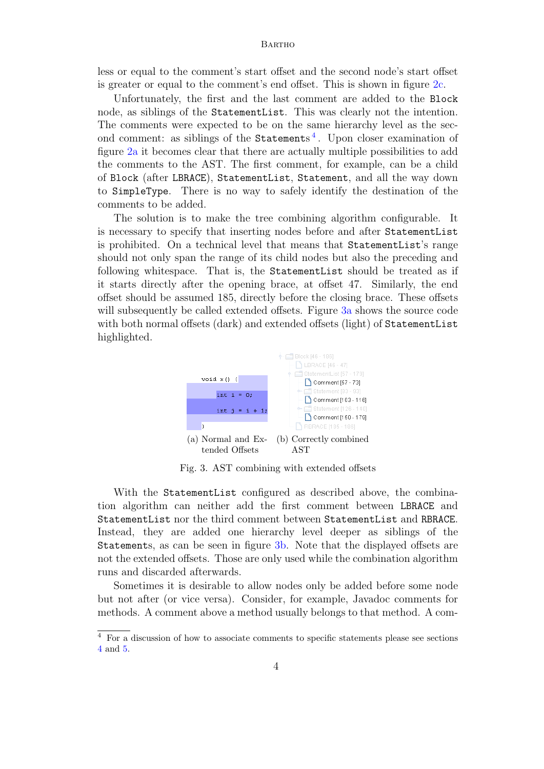less or equal to the comment's start offset and the second node's start offset is greater or equal to the comment's end offset. This is shown in figure 2c.

Unfortunately, the first and the last comment are added to the Block node, as siblings of the StatementList. This was clearly not the intention. The comments were expected to be on the same hierarchy level as the second comment: as siblings of the Statements<sup>4</sup>. Upon closer examination of figure 2a it becomes clear that there are actually multiple possibilities to add the comments to the AST. The first comment, for example, can be a child of Block (after LBRACE), StatementList, Statement, and all the way down to SimpleType. There is no way to safely identify the destination of the comments to be added.

The solution is to make the tree combining algorithm configurable. It is necessary to specify that inserting nodes before and after StatementList is prohibited. On a technical level that means that StatementList's range should not only span the range of its child nodes but also the preceding and following whitespace. That is, the StatementList should be treated as if it starts directly after the opening brace, at offset 47. Similarly, the end offset should be assumed 185, directly before the closing brace. These offsets will subsequently be called extended offsets. Figure 3a shows the source code with both normal offsets (dark) and extended offsets (light) of StatementList highlighted.



Fig. 3. AST combining with extended offsets

With the StatementList configured as described above, the combination algorithm can neither add the first comment between LBRACE and StatementList nor the third comment between StatementList and RBRACE. Instead, they are added one hierarchy level deeper as siblings of the Statements, as can be seen in figure 3b. Note that the displayed offsets are not the extended offsets. Those are only used while the combination algorithm runs and discarded afterwards.

Sometimes it is desirable to allow nodes only be added before some node but not after (or vice versa). Consider, for example, Javadoc comments for methods. A comment above a method usually belongs to that method. A com-

<sup>4</sup> For a discussion of how to associate comments to specific statements please see sections 4 and 5.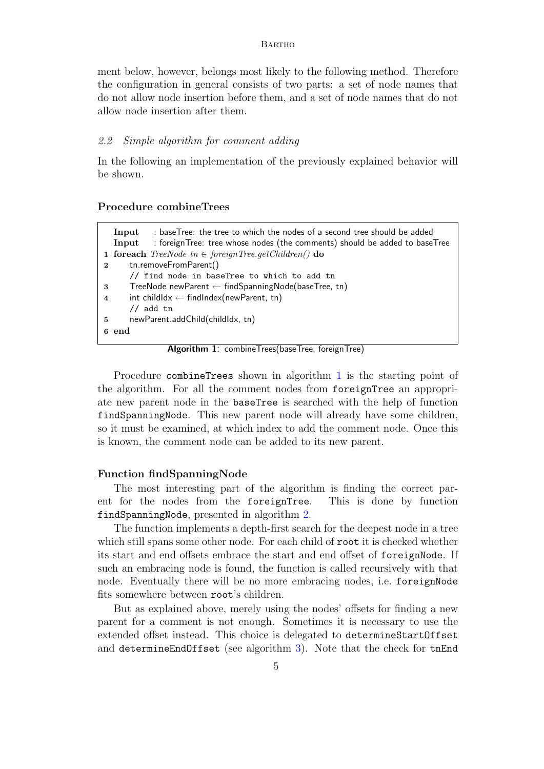ment below, however, belongs most likely to the following method. Therefore the configuration in general consists of two parts: a set of node names that do not allow node insertion before them, and a set of node names that do not allow node insertion after them.

#### 2.2 Simple algorithm for comment adding

In the following an implementation of the previously explained behavior will be shown.

# Procedure combineTrees

|                | : baseTree: the tree to which the nodes of a second tree should be added<br>Input    |  |  |  |  |  |
|----------------|--------------------------------------------------------------------------------------|--|--|--|--|--|
|                | : foreignTree: tree whose nodes (the comments) should be added to baseTree<br>Input  |  |  |  |  |  |
|                | <b>1 foreach</b> <i>TreeNode</i> $tn \in \text{foreignTree.getChildren}()$ <b>do</b> |  |  |  |  |  |
| $\mathbf{2}$   | tn.removeFromParent()                                                                |  |  |  |  |  |
|                | // find node in baseTree to which to add tn                                          |  |  |  |  |  |
| 3              | TreeNode newParent $\leftarrow$ findSpanningNode(baseTree, tn)                       |  |  |  |  |  |
| $\overline{4}$ | int childldx $\leftarrow$ findlndex(newParent, tn)                                   |  |  |  |  |  |
|                | $//$ add tn                                                                          |  |  |  |  |  |
| 5              | newParent.addChild(childldx, tn)                                                     |  |  |  |  |  |
|                | 6 end                                                                                |  |  |  |  |  |
|                |                                                                                      |  |  |  |  |  |

Algorithm 1: combineTrees(baseTree, foreignTree)

Procedure combineTrees shown in algorithm 1 is the starting point of the algorithm. For all the comment nodes from foreignTree an appropriate new parent node in the baseTree is searched with the help of function findSpanningNode. This new parent node will already have some children, so it must be examined, at which index to add the comment node. Once this is known, the comment node can be added to its new parent.

#### Function findSpanningNode

The most interesting part of the algorithm is finding the correct parent for the nodes from the foreignTree. This is done by function findSpanningNode, presented in algorithm 2.

The function implements a depth-first search for the deepest node in a tree which still spans some other node. For each child of root it is checked whether its start and end offsets embrace the start and end offset of foreignNode. If such an embracing node is found, the function is called recursively with that node. Eventually there will be no more embracing nodes, i.e. foreignNode fits somewhere between root's children.

But as explained above, merely using the nodes' offsets for finding a new parent for a comment is not enough. Sometimes it is necessary to use the extended offset instead. This choice is delegated to determineStartOffset and determineEndOffset (see algorithm 3). Note that the check for tnEnd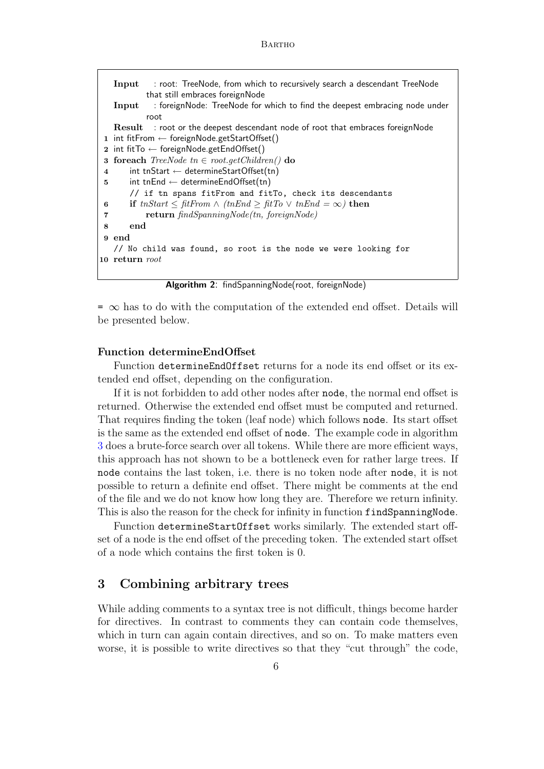```
Input : root: TreeNode, from which to recursively search a descendant TreeNode
           that still embraces foreignNode
   Input : foreignNode: TreeNode for which to find the deepest embracing node under
           root
   Result : root or the deepest descendant node of root that embraces foreignNode
 1 int fitFrom \leftarrow foreignNode.getStartOffset()
 2 int fitTo \leftarrow foreignNode.getEndOffset()
 3 foreach TreeNode \t{in} \in root.getChildren() do
 4 int tnStart \leftarrow determineStartOffset(tn)
 5 int tnEnd \leftarrow determineEndOffset(tn)
       // if tn spans fitFrom and fitTo, check its descendants
 6 if tnStart \leq fitFrom \wedge (tnEnd \geq fitTo \vee tnEnd =\infty) then
 7 return findSpanningNode(tn, foreignNode)
 8 end
 9 end
   // No child was found, so root is the node we were looking for
10 return root
```
Algorithm 2: findSpanningNode(root, foreignNode)

 $=$   $\infty$  has to do with the computation of the extended end offset. Details will be presented below.

## Function determineEndOffset

Function determineEndOffset returns for a node its end offset or its extended end offset, depending on the configuration.

If it is not forbidden to add other nodes after node, the normal end offset is returned. Otherwise the extended end offset must be computed and returned. That requires finding the token (leaf node) which follows node. Its start offset is the same as the extended end offset of node. The example code in algorithm 3 does a brute-force search over all tokens. While there are more efficient ways, this approach has not shown to be a bottleneck even for rather large trees. If node contains the last token, i.e. there is no token node after node, it is not possible to return a definite end offset. There might be comments at the end of the file and we do not know how long they are. Therefore we return infinity. This is also the reason for the check for infinity in function findSpanningNode.

Function determineStartOffset works similarly. The extended start offset of a node is the end offset of the preceding token. The extended start offset of a node which contains the first token is 0.

# 3 Combining arbitrary trees

While adding comments to a syntax tree is not difficult, things become harder for directives. In contrast to comments they can contain code themselves, which in turn can again contain directives, and so on. To make matters even worse, it is possible to write directives so that they "cut through" the code,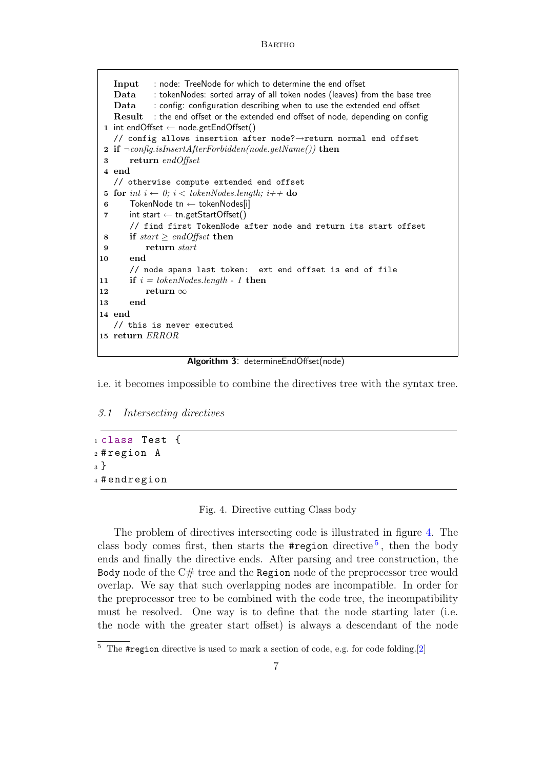```
Input : node: TreeNode for which to determine the end offset
   Data : tokenNodes: sorted array of all token nodes (leaves) from the base tree
   Data : config: configuration describing when to use the extended end offset
   Result : the end offset or the extended end offset of node, depending on config
 1 int endOffset ← node.getEndOffset()
   // config allows insertion after node?→return normal end offset
 2 if \neg \text{config.isInsertAfterForbidden(node.getName()) then
 3 return endOffset
 4 end
   // otherwise compute extended end offset
 5 for int i \leftarrow 0; i < tokenNodes.length; i + + do
 6 TokenNode tn \leftarrow tokenNodes[i]
 7 int start \leftarrow tn.getStartOffset()
       // find first TokenNode after node and return its start offset
 8 if start \geq end offset then
 9 return start
10 end
       // node spans last token: ext end offset is end of file
11 if i = tokenNodes.length - 1 then
12 return ∞
13 end
14 end
   // this is never executed
15 return ERROR
```
Algorithm 3: determineEndOffset(node)

i.e. it becomes impossible to combine the directives tree with the syntax tree.

#### 3.1 Intersecting directives

```
1 class Test {
2 # region A
3 }
4 # endregion
```
Fig. 4. Directive cutting Class body

The problem of directives intersecting code is illustrated in figure 4. The class body comes first, then starts the  $\#$ region directive<sup>5</sup>, then the body ends and finally the directive ends. After parsing and tree construction, the Body node of the  $C#$  tree and the Region node of the preprocessor tree would overlap. We say that such overlapping nodes are incompatible. In order for the preprocessor tree to be combined with the code tree, the incompatibility must be resolved. One way is to define that the node starting later (i.e. the node with the greater start offset) is always a descendant of the node

 $5$  The #region directive is used to mark a section of code, e.g. for code folding.[2]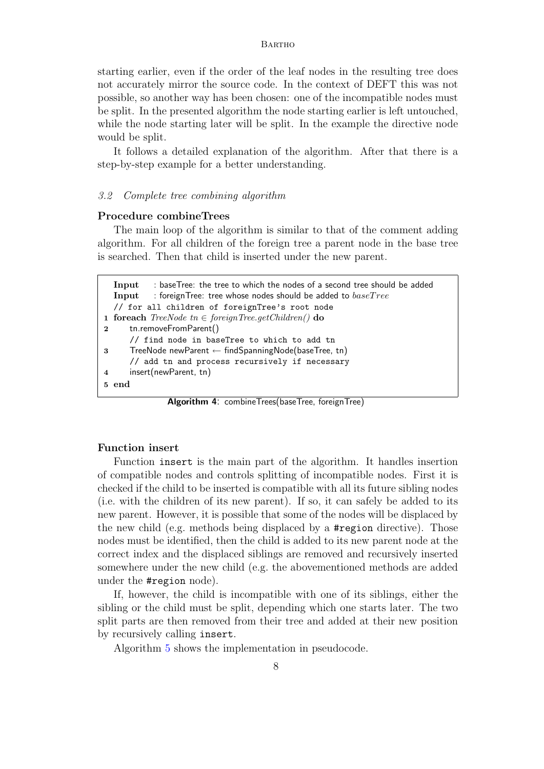starting earlier, even if the order of the leaf nodes in the resulting tree does not accurately mirror the source code. In the context of DEFT this was not possible, so another way has been chosen: one of the incompatible nodes must be split. In the presented algorithm the node starting earlier is left untouched, while the node starting later will be split. In the example the directive node would be split.

It follows a detailed explanation of the algorithm. After that there is a step-by-step example for a better understanding.

#### 3.2 Complete tree combining algorithm

## Procedure combineTrees

The main loop of the algorithm is similar to that of the comment adding algorithm. For all children of the foreign tree a parent node in the base tree is searched. Then that child is inserted under the new parent.

```
Input : baseTree: the tree to which the nodes of a second tree should be added
  Input : foreignTree: tree whose nodes should be added to baseTree// for all children of foreignTree's root node
1 foreach TreeNode \t{in} \in foreignTree.getChildren() do
2 tn.removeFromParent()
     // find node in baseTree to which to add tn
3 TreeNode newParent ← findSpanningNode(baseTree, tn)
     // add tn and process recursively if necessary
4 insert(newParent, tn)
5 end
```
Algorithm 4: combineTrees(baseTree, foreignTree)

## Function insert

Function insert is the main part of the algorithm. It handles insertion of compatible nodes and controls splitting of incompatible nodes. First it is checked if the child to be inserted is compatible with all its future sibling nodes (i.e. with the children of its new parent). If so, it can safely be added to its new parent. However, it is possible that some of the nodes will be displaced by the new child (e.g. methods being displaced by a #region directive). Those nodes must be identified, then the child is added to its new parent node at the correct index and the displaced siblings are removed and recursively inserted somewhere under the new child (e.g. the abovementioned methods are added under the #region node).

If, however, the child is incompatible with one of its siblings, either the sibling or the child must be split, depending which one starts later. The two split parts are then removed from their tree and added at their new position by recursively calling insert.

Algorithm 5 shows the implementation in pseudocode.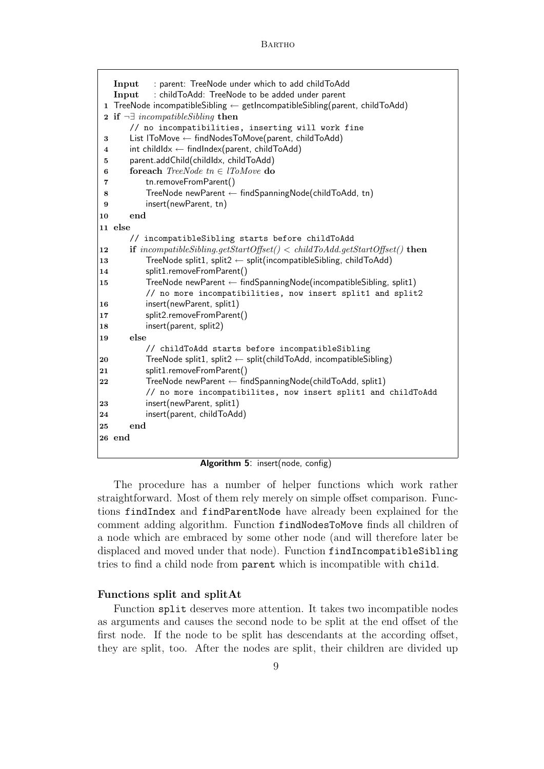```
Input : parent: TreeNode under which to add childToAdd
   Input : childToAdd: TreeNode to be added under parent
 1 TreeNode incompatibleSibling \leftarrow getIncompatibleSibling(parent, childToAdd)
 2 if \neg \exists \text{ incompatibleSibling} then
       // no incompatibilities, inserting will work fine
 3 List lToMove ← findNodesToMove(parent, childToAdd)
 4 int childIdx \leftarrow findIndex(parent, childToAdd)
 5 parent.addChild(childIdx, childToAdd)
 6 for foreach TreeNode \t{in} \in lToMove \t{do}7 tn.removeFromParent()
 8 TreeNode newParent ← findSpanningNode(childToAdd, tn)
 9 insert(newParent, tn)
10 end
11 else
      // incompatibleSibling starts before childToAdd
12 if incompatibleSibling.getStartOffset() < childToAdd.getStartOffset() then
13 TreeNode split1, split2 \leftarrow split(incompatibleSibling, childToAdd)
14 split1.removeFromParent()
15 TreeNode newParent ← findSpanningNode(incompatibleSibling, split1)
          // no more incompatibilities, now insert split1 and split2
16 insert(newParent, split1)
17 split2.removeFromParent()
18 insert(parent, split2)
19 else
          // childToAdd starts before incompatibleSibling
20 TreeNode split1, split2 \leftarrow split(childToAdd, incompatibleSibling)
21 split1.removeFromParent()
22 TreeNode newParent ← findSpanningNode(childToAdd, split1)
          // no more incompatibilites, now insert split1 and childToAdd
23 insert(newParent, split1)
24 insert(parent, childToAdd)
25 end
26 end
```
Algorithm 5: insert(node, config)

The procedure has a number of helper functions which work rather straightforward. Most of them rely merely on simple offset comparison. Functions findIndex and findParentNode have already been explained for the comment adding algorithm. Function findNodesToMove finds all children of a node which are embraced by some other node (and will therefore later be displaced and moved under that node). Function findIncompatibleSibling tries to find a child node from parent which is incompatible with child.

## Functions split and splitAt

Function split deserves more attention. It takes two incompatible nodes as arguments and causes the second node to be split at the end offset of the first node. If the node to be split has descendants at the according offset, they are split, too. After the nodes are split, their children are divided up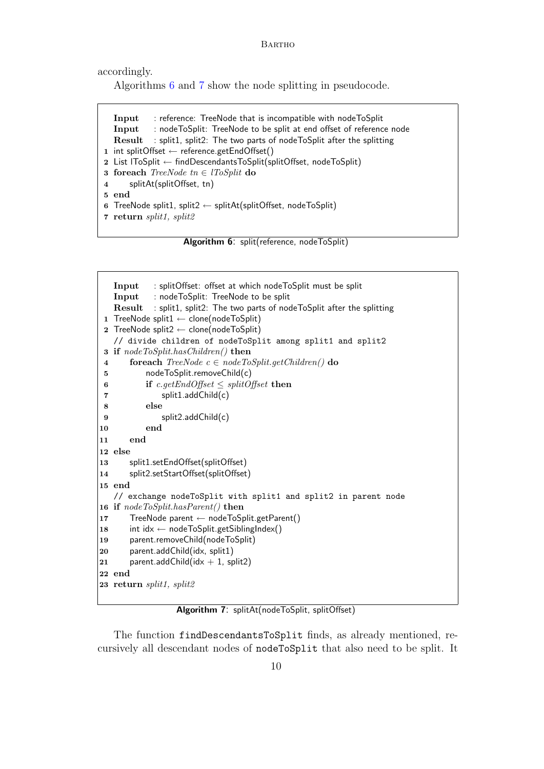accordingly.

Algorithms 6 and 7 show the node splitting in pseudocode.

```
Input : reference: TreeNode that is incompatible with nodeToSplit
  Input : nodeToSplit: TreeNode to be split at end offset of reference node
  Result : split1, split2: The two parts of nodeToSplit after the splitting
1 int splitOffset ← reference.getEndOffset()
2 List lToSplit ← findDescendantsToSplit(splitOffset, nodeToSplit)
3 foreach TreeNode \t{in} \in lToSplit \t{do}4 splitAt(splitOffset, tn)
5 end
6 TreeNode split1, split2 \leftarrow splitAt(splitOffset, nodeToSplit)
7 return split1, split2
```
Algorithm 6: split(reference, nodeToSplit)

```
Input : splitOffset: offset at which nodeToSplit must be split
   Input : nodeToSplit: TreeNode to be split
   Result : split1, split2: The two parts of nodeToSplit after the splitting
 1 TreeNode split1 ← clone(nodeToSplit)
 2 TreeNode split2 \leftarrow clone(nodeToSplit)
   // divide children of nodeToSplit among split1 and split2
 3 if nodeToSplit.hasChildren() then
 4 foreach TreeNode \ c \in nodeToSplit.getChildren() do
 5 nodeToSplit.removeChild(c)
 6 if c.getEndOffset \leq splitOffset then
 7 split1.addChild(c)
 8 else
 9 split2.addChild(c)
10 end
11 end
12 else
13 split1.setEndOffset(splitOffset)
14 split2.setStartOffset(splitOffset)
15 end
   // exchange nodeToSplit with split1 and split2 in parent node
16 if nodeToSplit.hasParent() then
17 TreeNode parent ← nodeToSplit.getParent()
18 int idx \leftarrow nodeToSplit.getSiblingIndex()
19 parent.removeChild(nodeToSplit)
|20 parent.addChild(idx, split1)
|21 parent.addChild(idx + 1, split2)
22 end
23 return split1, split2
```
Algorithm 7: splitAt(nodeToSplit, splitOffset)

The function findDescendantsToSplit finds, as already mentioned, recursively all descendant nodes of nodeToSplit that also need to be split. It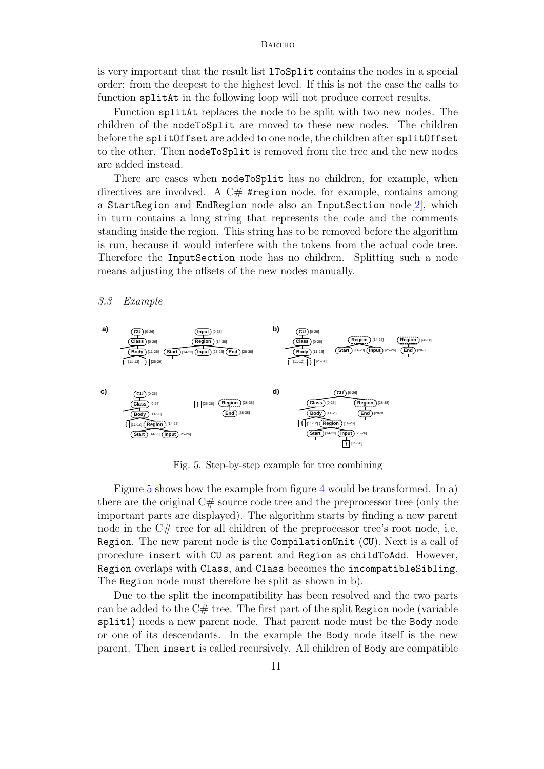is very important that the result list lToSplit contains the nodes in a special order: from the deepest to the highest level. If this is not the case the calls to function splitAt in the following loop will not produce correct results.

Function splitAt replaces the node to be split with two new nodes. The children of the nodeToSplit are moved to these new nodes. The children before the splitOffset are added to one node, the children after splitOffset to the other. Then nodeToSplit is removed from the tree and the new nodes are added instead.

There are cases when nodeToSplit has no children, for example, when directives are involved. A  $C#$  #region node, for example, contains among a StartRegion and EndRegion node also an InputSection node[2], which in turn contains a long string that represents the code and the comments standing inside the region. This string has to be removed before the algorithm is run, because it would interfere with the tokens from the actual code tree. Therefore the InputSection node has no children. Splitting such a node means adjusting the offsets of the new nodes manually.

#### 3.3 Example



Fig. 5. Step-by-step example for tree combining

Figure 5 shows how the example from figure 4 would be transformed. In a) there are the original  $C\#$  source code tree and the preprocessor tree (only the important parts are displayed). The algorithm starts by finding a new parent node in the C# tree for all children of the preprocessor tree's root node, i.e. Region. The new parent node is the CompilationUnit (CU). Next is a call of procedure insert with CU as parent and Region as childToAdd. However, Region overlaps with Class, and Class becomes the incompatibleSibling. The Region node must therefore be split as shown in b).

Due to the split the incompatibility has been resolved and the two parts can be added to the  $C#$  tree. The first part of the split Region node (variable split1) needs a new parent node. That parent node must be the Body node or one of its descendants. In the example the Body node itself is the new parent. Then insert is called recursively. All children of Body are compatible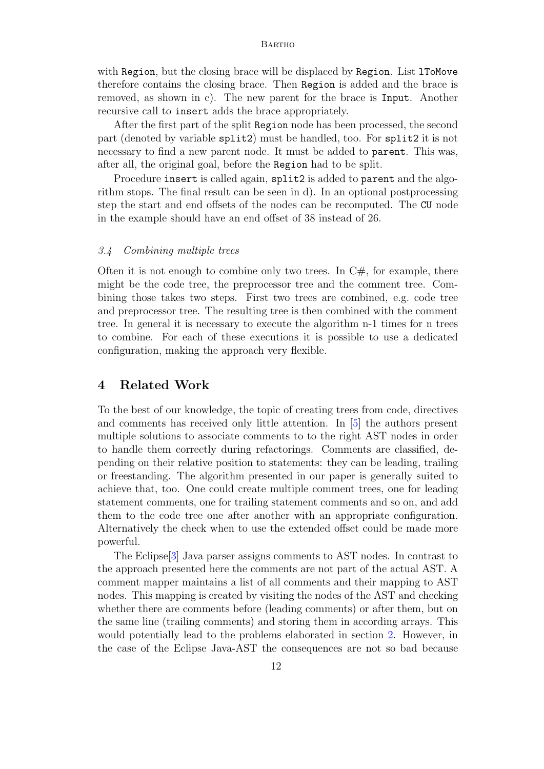with Region, but the closing brace will be displaced by Region. List 1ToMove therefore contains the closing brace. Then Region is added and the brace is removed, as shown in c). The new parent for the brace is Input. Another recursive call to insert adds the brace appropriately.

After the first part of the split Region node has been processed, the second part (denoted by variable split2) must be handled, too. For split2 it is not necessary to find a new parent node. It must be added to parent. This was, after all, the original goal, before the Region had to be split.

Procedure insert is called again, split2 is added to parent and the algorithm stops. The final result can be seen in d). In an optional postprocessing step the start and end offsets of the nodes can be recomputed. The CU node in the example should have an end offset of 38 instead of 26.

#### 3.4 Combining multiple trees

Often it is not enough to combine only two trees. In  $C#$ , for example, there might be the code tree, the preprocessor tree and the comment tree. Combining those takes two steps. First two trees are combined, e.g. code tree and preprocessor tree. The resulting tree is then combined with the comment tree. In general it is necessary to execute the algorithm n-1 times for n trees to combine. For each of these executions it is possible to use a dedicated configuration, making the approach very flexible.

# 4 Related Work

To the best of our knowledge, the topic of creating trees from code, directives and comments has received only little attention. In [5] the authors present multiple solutions to associate comments to to the right AST nodes in order to handle them correctly during refactorings. Comments are classified, depending on their relative position to statements: they can be leading, trailing or freestanding. The algorithm presented in our paper is generally suited to achieve that, too. One could create multiple comment trees, one for leading statement comments, one for trailing statement comments and so on, and add them to the code tree one after another with an appropriate configuration. Alternatively the check when to use the extended offset could be made more powerful.

The Eclipse[3] Java parser assigns comments to AST nodes. In contrast to the approach presented here the comments are not part of the actual AST. A comment mapper maintains a list of all comments and their mapping to AST nodes. This mapping is created by visiting the nodes of the AST and checking whether there are comments before (leading comments) or after them, but on the same line (trailing comments) and storing them in according arrays. This would potentially lead to the problems elaborated in section 2. However, in the case of the Eclipse Java-AST the consequences are not so bad because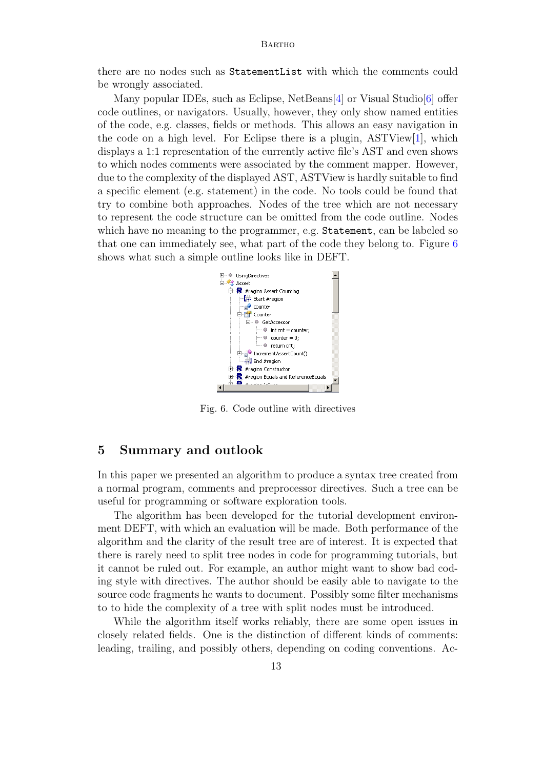there are no nodes such as StatementList with which the comments could be wrongly associated.

Many popular IDEs, such as Eclipse, NetBeans[4] or Visual Studio[6] offer code outlines, or navigators. Usually, however, they only show named entities of the code, e.g. classes, fields or methods. This allows an easy navigation in the code on a high level. For Eclipse there is a plugin,  $ASTView[1]$ , which displays a 1:1 representation of the currently active file's AST and even shows to which nodes comments were associated by the comment mapper. However, due to the complexity of the displayed AST, ASTView is hardly suitable to find a specific element (e.g. statement) in the code. No tools could be found that try to combine both approaches. Nodes of the tree which are not necessary to represent the code structure can be omitted from the code outline. Nodes which have no meaning to the programmer, e.g. Statement, can be labeled so that one can immediately see, what part of the code they belong to. Figure 6 shows what such a simple outline looks like in DEFT.



Fig. 6. Code outline with directives

# 5 Summary and outlook

In this paper we presented an algorithm to produce a syntax tree created from a normal program, comments and preprocessor directives. Such a tree can be useful for programming or software exploration tools.

The algorithm has been developed for the tutorial development environment DEFT, with which an evaluation will be made. Both performance of the algorithm and the clarity of the result tree are of interest. It is expected that there is rarely need to split tree nodes in code for programming tutorials, but it cannot be ruled out. For example, an author might want to show bad coding style with directives. The author should be easily able to navigate to the source code fragments he wants to document. Possibly some filter mechanisms to to hide the complexity of a tree with split nodes must be introduced.

While the algorithm itself works reliably, there are some open issues in closely related fields. One is the distinction of different kinds of comments: leading, trailing, and possibly others, depending on coding conventions. Ac-